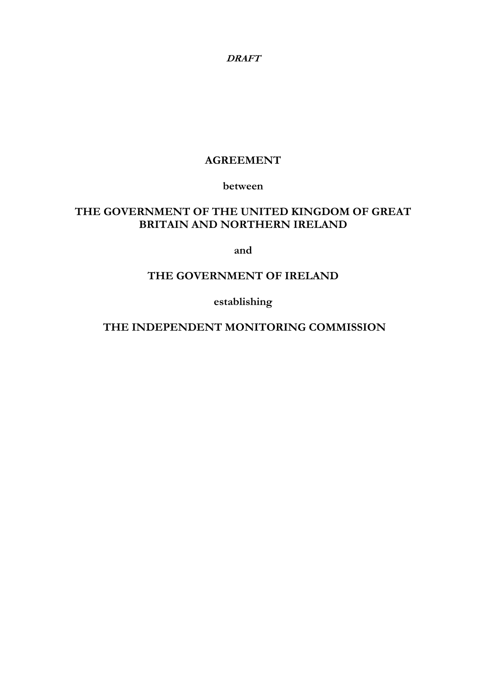# **AGREEMENT**

**between** 

# **THE GOVERNMENT OF THE UNITED KINGDOM OF GREAT BRITAIN AND NORTHERN IRELAND**

**and** 

# **THE GOVERNMENT OF IRELAND**

**establishing** 

 **THE INDEPENDENT MONITORING COMMISSION**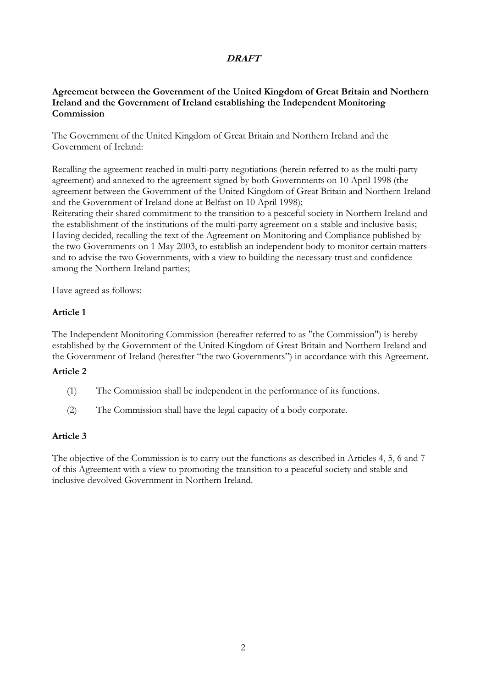### **Agreement between the Government of the United Kingdom of Great Britain and Northern Ireland and the Government of Ireland establishing the Independent Monitoring Commission**

The Government of the United Kingdom of Great Britain and Northern Ireland and the Government of Ireland:

Recalling the agreement reached in multi-party negotiations (herein referred to as the multi-party agreement) and annexed to the agreement signed by both Governments on 10 April 1998 (the agreement between the Government of the United Kingdom of Great Britain and Northern Ireland and the Government of Ireland done at Belfast on 10 April 1998);

Reiterating their shared commitment to the transition to a peaceful society in Northern Ireland and the establishment of the institutions of the multi-party agreement on a stable and inclusive basis; Having decided, recalling the text of the Agreement on Monitoring and Compliance published by the two Governments on 1 May 2003, to establish an independent body to monitor certain matters and to advise the two Governments, with a view to building the necessary trust and confidence among the Northern Ireland parties;

Have agreed as follows:

## **Article 1**

The Independent Monitoring Commission (hereafter referred to as "the Commission") is hereby established by the Government of the United Kingdom of Great Britain and Northern Ireland and the Government of Ireland (hereafter "the two Governments") in accordance with this Agreement.

### **Article 2**

- (1) The Commission shall be independent in the performance of its functions.
- (2) The Commission shall have the legal capacity of a body corporate.

## **Article 3**

The objective of the Commission is to carry out the functions as described in Articles 4, 5, 6 and 7 of this Agreement with a view to promoting the transition to a peaceful society and stable and inclusive devolved Government in Northern Ireland.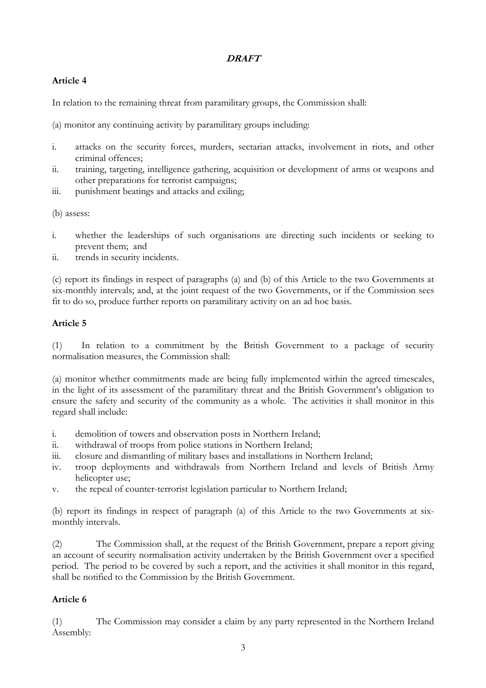# **Article 4**

In relation to the remaining threat from paramilitary groups, the Commission shall:

(a) monitor any continuing activity by paramilitary groups including:

- i. attacks on the security forces, murders, sectarian attacks, involvement in riots, and other criminal offences;
- ii. training, targeting, intelligence gathering, acquisition or development of arms or weapons and other preparations for terrorist campaigns;
- iii. punishment beatings and attacks and exiling;

(b) assess:

- i. whether the leaderships of such organisations are directing such incidents or seeking to prevent them; and
- ii. trends in security incidents.

(c) report its findings in respect of paragraphs (a) and (b) of this Article to the two Governments at six-monthly intervals; and, at the joint request of the two Governments, or if the Commission sees fit to do so, produce further reports on paramilitary activity on an ad hoc basis.

## **Article 5**

(1) In relation to a commitment by the British Government to a package of security normalisation measures, the Commission shall:

(a) monitor whether commitments made are being fully implemented within the agreed timescales, in the light of its assessment of the paramilitary threat and the British Government's obligation to ensure the safety and security of the community as a whole. The activities it shall monitor in this regard shall include:

- i. demolition of towers and observation posts in Northern Ireland;
- ii. withdrawal of troops from police stations in Northern Ireland;
- iii. closure and dismantling of military bases and installations in Northern Ireland;
- iv. troop deployments and withdrawals from Northern Ireland and levels of British Army helicopter use;
- v. the repeal of counter-terrorist legislation particular to Northern Ireland;

(b) report its findings in respect of paragraph (a) of this Article to the two Governments at sixmonthly intervals.

(2) The Commission shall, at the request of the British Government, prepare a report giving an account of security normalisation activity undertaken by the British Government over a specified period. The period to be covered by such a report, and the activities it shall monitor in this regard, shall be notified to the Commission by the British Government.

## **Article 6**

(1) The Commission may consider a claim by any party represented in the Northern Ireland Assembly: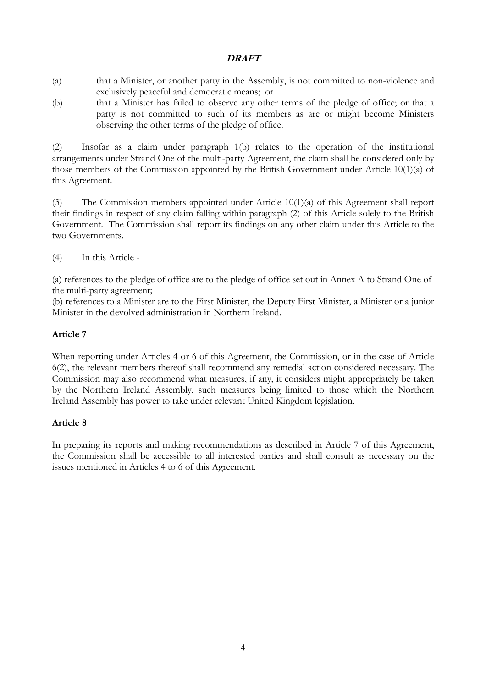- (a) that a Minister, or another party in the Assembly, is not committed to non-violence and exclusively peaceful and democratic means; or
- (b) that a Minister has failed to observe any other terms of the pledge of office; or that a party is not committed to such of its members as are or might become Ministers observing the other terms of the pledge of office.

(2) Insofar as a claim under paragraph 1(b) relates to the operation of the institutional arrangements under Strand One of the multi-party Agreement, the claim shall be considered only by those members of the Commission appointed by the British Government under Article 10(1)(a) of this Agreement.

(3) The Commission members appointed under Article 10(1)(a) of this Agreement shall report their findings in respect of any claim falling within paragraph (2) of this Article solely to the British Government. The Commission shall report its findings on any other claim under this Article to the two Governments.

(4) In this Article -

(a) references to the pledge of office are to the pledge of office set out in Annex A to Strand One of the multi-party agreement;

(b) references to a Minister are to the First Minister, the Deputy First Minister, a Minister or a junior Minister in the devolved administration in Northern Ireland.

## **Article 7**

When reporting under Articles 4 or 6 of this Agreement, the Commission, or in the case of Article 6(2), the relevant members thereof shall recommend any remedial action considered necessary. The Commission may also recommend what measures, if any, it considers might appropriately be taken by the Northern Ireland Assembly, such measures being limited to those which the Northern Ireland Assembly has power to take under relevant United Kingdom legislation.

#### **Article 8**

In preparing its reports and making recommendations as described in Article 7 of this Agreement, the Commission shall be accessible to all interested parties and shall consult as necessary on the issues mentioned in Articles 4 to 6 of this Agreement.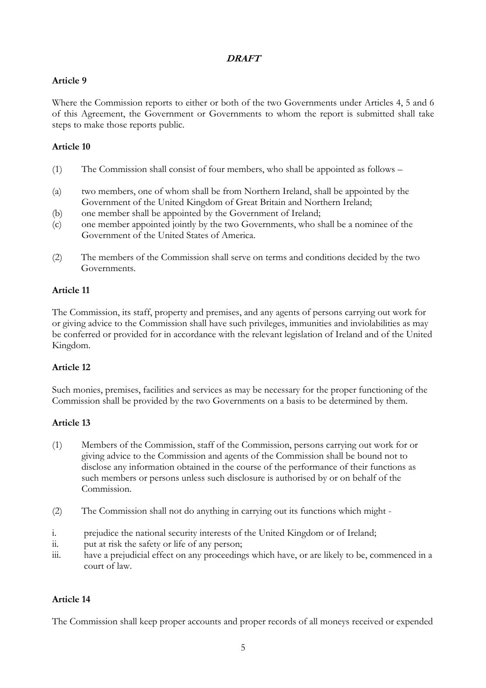## **Article 9**

Where the Commission reports to either or both of the two Governments under Articles 4, 5 and 6 of this Agreement, the Government or Governments to whom the report is submitted shall take steps to make those reports public.

## **Article 10**

- (1) The Commission shall consist of four members, who shall be appointed as follows –
- (a) two members, one of whom shall be from Northern Ireland, shall be appointed by the Government of the United Kingdom of Great Britain and Northern Ireland;
- (b) one member shall be appointed by the Government of Ireland;
- (c) one member appointed jointly by the two Governments, who shall be a nominee of the Government of the United States of America.
- (2) The members of the Commission shall serve on terms and conditions decided by the two Governments.

## **Article 11**

The Commission, its staff, property and premises, and any agents of persons carrying out work for or giving advice to the Commission shall have such privileges, immunities and inviolabilities as may be conferred or provided for in accordance with the relevant legislation of Ireland and of the United Kingdom.

## **Article 12**

Such monies, premises, facilities and services as may be necessary for the proper functioning of the Commission shall be provided by the two Governments on a basis to be determined by them.

#### **Article 13**

- (1) Members of the Commission, staff of the Commission, persons carrying out work for or giving advice to the Commission and agents of the Commission shall be bound not to disclose any information obtained in the course of the performance of their functions as such members or persons unless such disclosure is authorised by or on behalf of the Commission.
- (2) The Commission shall not do anything in carrying out its functions which might -
- i. prejudice the national security interests of the United Kingdom or of Ireland;
- ii. put at risk the safety or life of any person;
- iii. have a prejudicial effect on any proceedings which have, or are likely to be, commenced in a court of law.

#### **Article 14**

The Commission shall keep proper accounts and proper records of all moneys received or expended